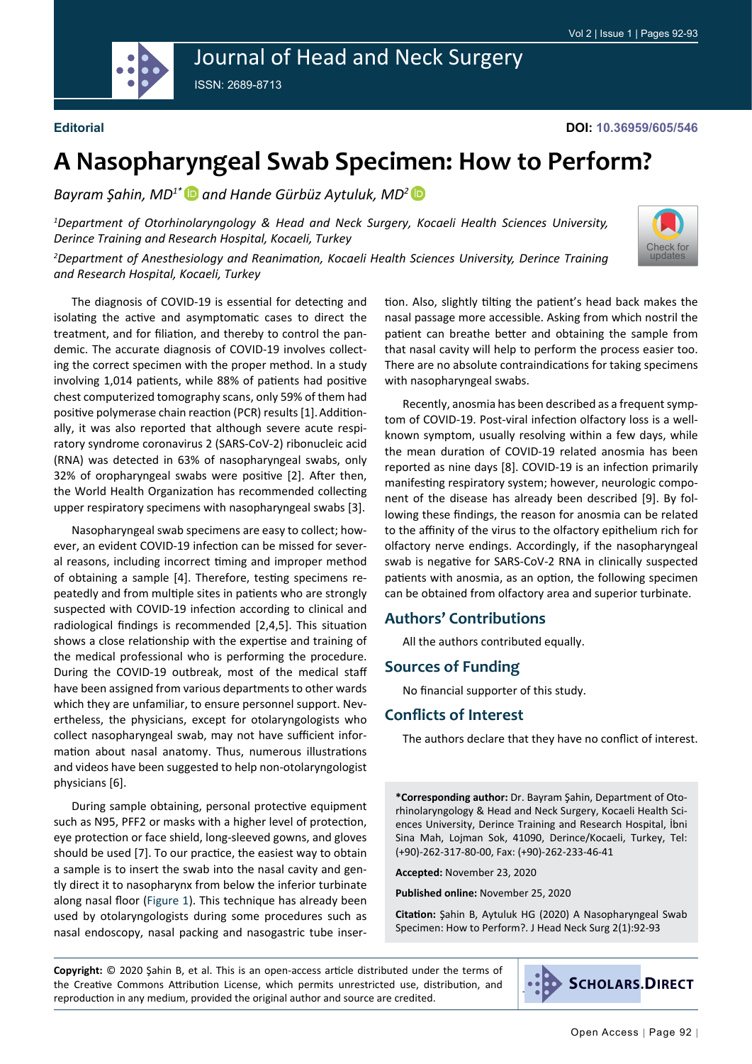

# Journal of Head and Neck Surgery

ISSN: 2689-8713

#### **Editorial**

[Check for](http://crossmark.crossref.org/dialog/?doi=10.36959/605/546&domain=pdf) updates

## **A Nasopharyngeal Swab Specimen: How to Perform?**

*Bayram Şahin, MD1[\\*](https://orcid.org/0000-0002-3886-4432) and Hande Gürbüz Aytuluk, MD[2](https://orcid.org/0000-0002-3562-9517)* 

*1 Department of Otorhinolaryngology & Head and Neck Surgery, Kocaeli Health Sciences University, Derince Training and Research Hospital, Kocaeli, Turkey*

*2 Department of Anesthesiology and Reanimation, Kocaeli Health Sciences University, Derince Training and Research Hospital, Kocaeli, Turkey*

The diagnosis of COVID-19 is essential for detecting and isolating the active and asymptomatic cases to direct the treatment, and for filiation, and thereby to control the pandemic. The accurate diagnosis of COVID-19 involves collecting the correct specimen with the proper method. In a study involving 1,014 patients, while 88% of patients had positive chest computerized tomography scans, only 59% of them had positive polymerase chain reaction (PCR) results [1].Additionally, it was also reported that although severe acute respiratory syndrome coronavirus 2 (SARS-CoV-2) ribonucleic acid (RNA) was detected in 63% of nasopharyngeal swabs, only 32% of oropharyngeal swabs were positive [2]. After then, the World Health Organization has recommended collecting upper respiratory specimens with nasopharyngeal swabs [3].

Nasopharyngeal swab specimens are easy to collect; however, an evident COVID-19 infection can be missed for several reasons, including incorrect timing and improper method of obtaining a sample [4]. Therefore, testing specimens repeatedly and from multiple sites in patients who are strongly suspected with COVID-19 infection according to clinical and radiological findings is recommended [2,4,5]. This situation shows a close relationship with the expertise and training of the medical professional who is performing the procedure. During the COVID-19 outbreak, most of the medical staff have been assigned from various departments to other wards which they are unfamiliar, to ensure personnel support. Nevertheless, the physicians, except for otolaryngologists who collect nasopharyngeal swab, may not have sufficient information about nasal anatomy. Thus, numerous illustrations and videos have been suggested to help non-otolaryngologist physicians [6].

During sample obtaining, personal protective equipment such as N95, PFF2 or masks with a higher level of protection, eye protection or face shield, long-sleeved gowns, and gloves should be used [7]. To our practice, the easiest way to obtain a sample is to insert the swab into the nasal cavity and gently direct it to nasopharynx from below the inferior turbinate along nasal floor [\(Figure 1\)](#page-1-0). This technique has already been used by otolaryngologists during some procedures such as nasal endoscopy, nasal packing and nasogastric tube inser-

tion. Also, slightly tilting the patient's head back makes the nasal passage more accessible. Asking from which nostril the patient can breathe better and obtaining the sample from that nasal cavity will help to perform the process easier too. There are no absolute contraindications for taking specimens with nasopharyngeal swabs.

Recently, anosmia has been described as a frequent symptom of COVID-19. Post-viral infection olfactory loss is a wellknown symptom, usually resolving within a few days, while the mean duration of COVID-19 related anosmia has been reported as nine days [8]. COVID-19 is an infection primarily manifesting respiratory system; however, neurologic component of the disease has already been described [9]. By following these findings, the reason for anosmia can be related to the affinity of the virus to the olfactory epithelium rich for olfactory nerve endings. Accordingly, if the nasopharyngeal swab is negative for SARS-CoV-2 RNA in clinically suspected patients with anosmia, as an option, the following specimen can be obtained from olfactory area and superior turbinate.

#### **Authors' Contributions**

All the authors contributed equally.

#### **Sources of Funding**

No financial supporter of this study.

#### **Conflicts of Interest**

The authors declare that they have no conflict of interest.

**\*Corresponding author:** Dr. Bayram Şahin, Department of Otorhinolaryngology & Head and Neck Surgery, Kocaeli Health Sciences University, Derince Training and Research Hospital, İbni Sina Mah, Lojman Sok, 41090, Derince/Kocaeli, Turkey, Tel: (+90)-262-317-80-00, Fax: (+90)-262-233-46-41

**Accepted:** November 23, 2020

**Published online:** November 25, 2020

**Citation:** Şahin B, Aytuluk HG (2020) A Nasopharyngeal Swab Specimen: How to Perform?. J Head Neck Surg 2(1):92-93

**Copyright:** © 2020 Şahin B, et al. This is an open-access article distributed under the terms of the Creative Commons Attribution License, which permits unrestricted use, distribution, and reproduction in any medium, provided the original author and source are credited.